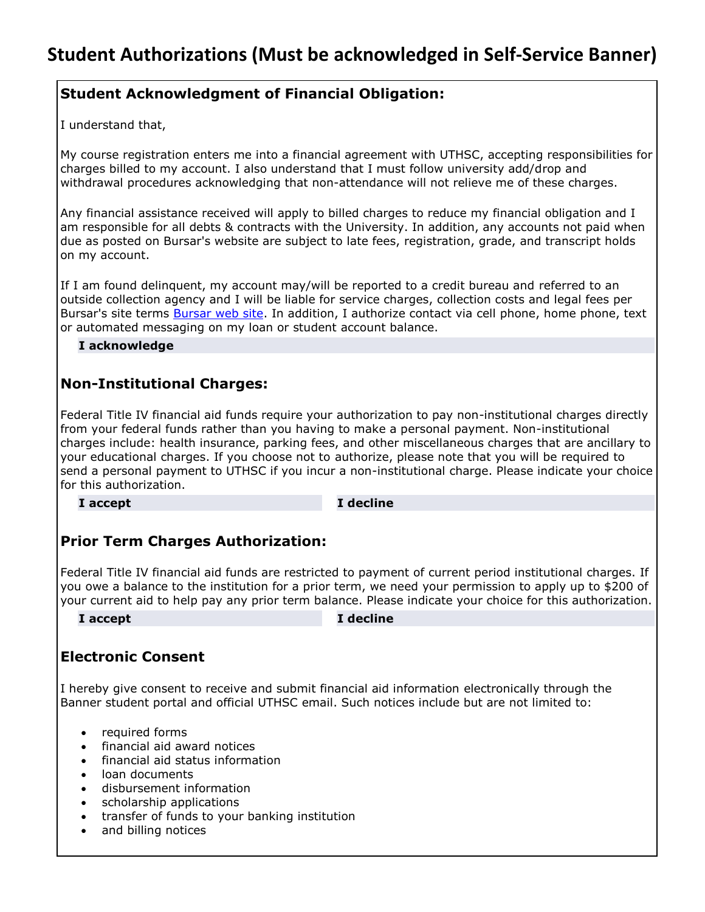# **Student Acknowledgment of Financial Obligation:**

I understand that,

My course registration enters me into a financial agreement with UTHSC, accepting responsibilities for charges billed to my account. I also understand that I must follow university add/drop and withdrawal procedures acknowledging that non-attendance will not relieve me of these charges.

Any financial assistance received will apply to billed charges to reduce my financial obligation and I am responsible for all debts & contracts with the University. In addition, any accounts not paid when due as posted on Bursar's website are subject to late fees, registration, grade, and transcript holds on my account.

If I am found delinquent, my account may/will be reported to a credit bureau and referred to an outside collection agency and I will be liable for service charges, collection costs and legal fees per Bursar's site terms **Bursar web site**. In addition, I authorize contact via cell phone, home phone, text or automated messaging on my loan or student account balance.

#### **I acknowledge**

## **Non-Institutional Charges:**

Federal Title IV financial aid funds require your authorization to pay non-institutional charges directly from your federal funds rather than you having to make a personal payment. Non-institutional charges include: health insurance, parking fees, and other miscellaneous charges that are ancillary to your educational charges. If you choose not to authorize, please note that you will be required to send a personal payment to UTHSC if you incur a non-institutional charge. Please indicate your choice for this authorization.

**I accept I decline**

# **Prior Term Charges Authorization:**

Federal Title IV financial aid funds are restricted to payment of current period institutional charges. If you owe a balance to the institution for a prior term, we need your permission to apply up to \$200 of your current aid to help pay any prior term balance. Please indicate your choice for this authorization.

#### **I accept I decline**

# **Electronic Consent**

I hereby give consent to receive and submit financial aid information electronically through the Banner student portal and official UTHSC email. Such notices include but are not limited to:

- required forms
- financial aid award notices
- financial aid status information
- loan documents
- disbursement information
- scholarship applications
- transfer of funds to your banking institution
- and billing notices